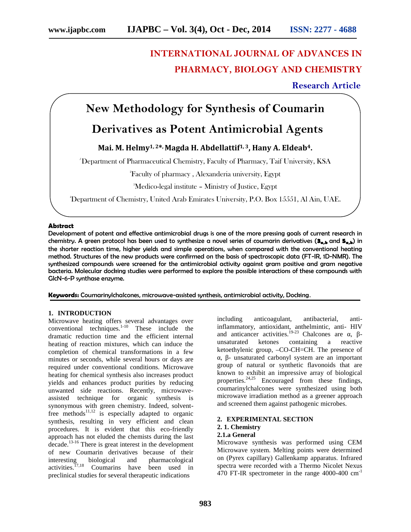# **INTERNATIONAL JOURNAL OF ADVANCES IN PHARMACY, BIOLOGY AND CHEMISTRY**

## **Research Article**

# **New Methodology for Synthesis of Coumarin**

# **Derivatives as Potent Antimicrobial Agents**

### **Mai. M. Helmy1, 2\* , Magda H. Abdellattif1, 3, Hany A. Eldeab4.**

*<sup>1</sup>* Department of Pharmaceutical Chemistry, Faculty of Pharmacy, Taif University, KSA

<sup>2</sup>Faculty of pharmacy , Alexanderia university, Egypt

<sup>3</sup>Medico-legal institute – Ministry of Justice, Egypt

4Department of Chemistry, United Arab Emirates University, P.O. Box 15551, Al Ain, UAE.

#### **Abstract**

Development of potent and effective antimicrobial drugs is one of the more pressing goals of current research in chemistry. A green protocol has been used to synthesize a novel series of coumarin derivatives (3<sub>a,b</sub> and 5<sub>a,b</sub>) in the shorter reaction time, higher yields and simple operations, when compared with the conventional heating method. Structures of the new products were confirmed on the basis of spectroscopic data (FT-IR, 1D-NMR). The synthesized compounds were screened for the antimicrobial activity against gram positive and gram negative bacteria. Molecular docking studies were performed to explore the possible interactions of these compounds with GlcN-6-P synthase enzyme.

**Keywords:** Coumarinylchalcones, microwave-assisted synthesis, antimicrobial activity, Docking.

#### **1. INTRODUCTION**

Microwave heating offers several advantages over conventional techniques. $1-10$  These include the dramatic reduction time and the efficient internal heating of reaction mixtures, which can induce the completion of chemical transformations in a few minutes or seconds, while several hours or days are required under conventional conditions. Microwave heating for chemical synthesis also increases product yields and enhances product purities by reducing unwanted side reactions. Recently, microwave assisted technique for organic synthesis is synonymous with green chemistry. Indeed, solventfree methods<sup>11,12</sup> is especially adapted to organic synthesis, resulting in very efficient and clean procedures. It is evident that this eco-friendly approach has not eluded the chemists during the last decade.13-16 There is great interest in the development of new Coumarin derivatives because of their interesting biological and pharmacological activities.<sup>17,18</sup> Coumarins have been used in preclinical studies for several therapeutic indications

including anticoagulant, antibacterial, antiinflammatory, antioxidant, anthelmintic, anti- HIV and anticancer activities.<sup>19-23</sup> Chalcones are  $\alpha$ , unsaturated ketones containing a reactive ketoethylenic group, –CO-CH=CH. The presence of , - unsaturated carbonyl system are an important group of natural or synthetic flavonoids that are known to exhibit an impressive array of biological properties. $24.25$  Encouraged from these findings, coumarinylchalcones were synthesized using both microwave irradiation method as a greener approach and screened them against pathogenic microbes.

#### **2. EXPERIMENTAL SECTION 2. 1. Chemistry 2.1.a General**

Microwave synthesis was performed using CEM Microwave system. Melting points were determined on (Pyrex capillary) Gallenkamp apparatus. Infrared spectra were recorded with a Thermo Nicolet Nexus 470 FT-IR spectrometer in the range 4000-400 cm-1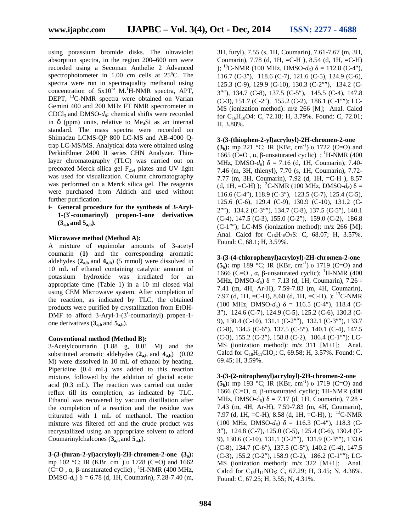using potassium bromide disks. The ultraviolet absorption spectra, in the region 200–600 nm were recorded using a Secoman Anthelie 2 Advanced spectrophotometer in  $1.00$  cm cells at  $25^{\circ}$ C. The spectra were run in spectraquality methanol using concentration of  $5x10^{-5}$  M.<sup>1</sup>H-NMR spectra, APT, DEPT, <sup>13</sup>C-NMR spectra were obtained on Varian Gemini 400 and 200 MHz FT NMR spectrometer in CDCl<sub>3</sub> and DMSO- $d_6$ ; chemical shifts were recorded in  $\mu$  (ppm) units, relative to Me<sub>4</sub>Si as an internal standard. The mass spectra were recorded on Shimadzu LCMS-QP 800 LC-MS and AB-4000 Qtrap LC-MS/MS. Analytical data were obtained using PerkinElmer 2400 II series CHN Analyzer. Thinlayer chromatography (TLC) was carried out on precoated Merck silica gel  $F_{254}$  plates and UV light was used for visualization. Column chromatography was performed on a Merck silica gel. The reagents were purchased from Aldrich and used without further purification.

**i- General procedure for the synthesis of 3-Aryl- 1-(3 -coumarinyl) propen-1-one derivatives (3a,b and 5a,b).**

#### **Microwave method (Method A):**

A mixture of equimolar amounts of 3-acetyl coumarin (**1)** and the corresponding aromatic aldehydes  $(2_{a,b}$  and  $4_{a,b})$  (5 mmol) were dissolved in 10 mL of ethanol containing catalytic amount of potassium hydroxide was irradiated for an appropriate time (Table 1) in a 10 ml closed vial using CEM Microwave system. After completion of the reaction, as indicated by TLC, the obtained products were purified by crystallization from EtOH- DMF to afford 3-Aryl-1-(3 -coumarinyl) propen-1 one derivatives  $(3<sub>a,b</sub>$  and  $5<sub>a,b</sub>)$ .

#### **Conventional method (Method B):**

3-Acetylcoumarin (1.88 g, 0.01 M) and the substituted aromatic aldehydes  $(2_{a,b}$  and  $4_{a,b})$   $(0.02)$ M) were dissolved in 10 mL of ethanol by heating. Piperidine (0.4 mL) was added to this reaction mixture, followed by the addition of glacial acetic acid (0.3 mL). The reaction was carried out under reflux till its completion, as indicated by TLC. Ethanol was recovered by vacuum distillation after the completion of a reaction and the residue was triturated with 1 mL of methanol. The reaction mixture was filtered off and the crude product was recrystallized using an appropriate solvent to afford Coumarinylchalcones  $(3<sub>a,b</sub>$  and  $5<sub>a,b</sub>)$ .

**3-(3-(furan-2-yl)acryloyl)-2H-chromen-2-one (3a):** mp 102 °C; IR (KBr, cm<sup>-1</sup>) 1728 (C=O) and 1662  $(C=O,$ , -unsaturated cyclic) ; <sup>1</sup>H-NMR (400 MHz,  $DMSO-d<sub>6</sub>$ ) = 6.78 (d, 1H, Coumarin), 7.28-7.40 (m,

3H, furyl), 7.55 (s, 1H, Coumarin), 7.61-7.67 (m, 3H, Coumarin), 7.78 (d, 1H, =C-H ), 8.54 (d, 1H, =C-H) ); <sup>13</sup>C-NMR (100 MHz, DMSO- $d_6$ ) = 112.8 (C-4"), 116.7 (C-3"), 118.6 (C-7), 121.6 (C-5), 124.9 (C-6),  $125.3$  (C-9),  $129.9$  (C-10),  $130.3$  (C-2""),  $134.2$  (C-3""), 134.7 (C-8), 137.5 (C-5"), 145.5 (C-4), 147.8  $(C-3)$ , 151.7  $(C-2)$ , 155.2  $(C-2)$ , 186.1  $(C-1)$ ; LC-MS (ionization method): m/z 266 [M]; Anal. Calcd for  $C_{16}H_{10}O4$ : C, 72.18; H, 3.79%. Found: C, 72.01; H, 3.88%.

#### **3-(3-(thiophen-2-yl)acryloyl)-2H-chromen-2-one**

**(3<sub>b</sub>):** mp 221 °C; IR (KBr, cm<sup>-1</sup>) 1722 (C=O) and 1665 (C=O, , -unsaturated cyclic) ;  $^1$ H-NMR (400) MHz,  $DMSO-d_6$ ) = 7.16 (d, 1H, Coumarin), 7.40-7.46 (m, 3H, thienyl), 7.70 (s, 1H, Coumarin), 7.72- 7.77 (m, 3H, Coumarin), 7.92 (d, 1H, =C-H ), 8.57 (d, 1H, =C-H) ); <sup>13</sup>C-NMR (100 MHz, DMSO- $d_6$ ) =  $116.6$  (C-4"),  $118.9$  (C-3"),  $123.5$  (C-7),  $125.4$  (C-5), 125.6 (C-6), 129.4 (C-9), 130.9 (C-10), 131.2 (C- 2""), 134.2 (C-3""), 134.7 (C-8), 137.5 (C-5"), 140.1 (C-4), 147.5 (C-3), 155.0 (C-2), 159.0 (C-2), 186.8 (C-1""); LC-MS (ionization method):  $m/z$  266 [M]; Anal. Calcd for C<sub>16</sub>H<sub>10</sub>O<sub>3</sub>S: C, 68.07; H, 3.57%. Found: C, 68.1; H, 3.59%.

**3-(3-(4-chlorophenyl)acryloyl)-2H-chromen-2-one (5<sub>a</sub>**): mp 189 °C; IR (KBr, cm<sup>-1</sup>) 1719 (C=O) and 1666 (C=O,  $\mu$ , -unsaturated cyclic); <sup>1</sup>H-NMR (400) MHz, DMSO- $d_6$ ) = 7.13 (d, 1H, Coumarin), 7.26 -7.41 (m, 4H, Ar-H), 7.59-7.83 (m, 4H, Coumarin), 7.97 (d, 1H, =C-H), 8.60 (d, 1H, =C-H), ); <sup>13</sup>C-NMR  $(100 \text{ MHz}, \text{ DMSO-}d_6) = 116.5 \text{ (C-4'')}$ , 118.4 (C-3), 124.6 (C-7), 124.9 (C-5), 125.2 (C-6), 130.3 (C- 9), 130.4 (C-10), 131.1 (C-2""), 132.1 (C-3""), 133.7 (C-8), 134.5 (C-6"), 137.5 (C-5"), 140.1 (C-4), 147.5  $(C-3)$ , 155.2  $(C-2)$ , 158.8  $(C-2)$ , 186.4  $(C-1)$ ; LC-MS (ionization method): m/z 311 [M+1]; Anal. Calcd for  $C_{18}H_{11}ClO_3$ : C, 69.58; H, 3.57%. Found: C, 69.45; H, 3.59%.

#### **3-(3-(2-nitrophenyl)acryloyl)-2H-chromen-2-one**

**(5<sub>b</sub>):** mp 193 °C; IR (KBr, cm<sup>-1</sup>) 1719 (C=O) and 1666 (C=O,  $\mu$  -unsaturated cyclic); 1H-NMR (400) MHz,  $DMSO-d_6$ ) = 7.17 (d, 1H, Coumarin), 7.28 -7.43 (m, 4H, Ar-H), 7.59-7.83 (m, 4H, Coumarin), 7.97 (d, 1H, =C-H), 8.58 (d, 1H, =C-H), ); <sup>13</sup>C-NMR  $(100 \text{ MHz}, \text{ DMSO-}d_6) = 116.3 \text{ (C-4'')}$ , 118.3 (C-3), 124.8 (C-7), 125.0 (C-5), 125.4 (C-6), 130.4 (C- 9), 130.6 (C-10), 131.1 (C-2""), 131.9 (C-3""), 133.6 (C-8), 134.7 (C-6"), 137.5 (C-5"), 140.2 (C-4), 147.5  $(C-3)$ , 155.2  $(C-2)$ , 158.9  $(C-2)$ , 186.2  $(C-1)$ ; LC-MS (ionization method): m/z 322 [M+1]; Anal. Calcd for  $C_{18}H_{11}NO_5$ : C, 67.29; H, 3.45; N, 4.36%. Found: C, 67.25; H, 3.55; N, 4.31%.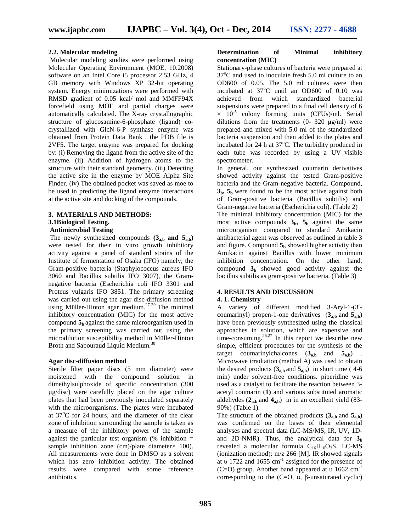#### **2.2. Molecular modeling**

Molecular modeling studies were performed using Molecular Operating Environment (MOE, 10.2008) software on an Intel Core i5 processor 2.53 GHz, 4 GB memory with Windows XP 32-bit operating system. Energy minimizations were performed with RMSD gradient of 0.05 kcal/ mol and MMFF94X forcefield using MOE and partial charges were automatically calculated. The X-ray crystallographic structure of glucosamine-6-phosphate (ligand) co crystallized with GlcN-6-P synthase enzyme was obtained from Protein Data Bank , the PDB file is 2VF5. The target enzyme was prepared for docking by: (i) Removing the ligand from the active site of the enzyme. (ii) Addition of hydrogen atoms to the structure with their standard geometry. (iii) Detecting the active site in the enzyme by MOE Alpha Site Finder. (iv) The obtained pocket was saved as moe to be used in predicting the ligand enzyme interactions at the active site and docking of the compounds.

## **3. MATERIALS AND METHODS:**

#### **3.1Biological Testing. Antimicrobial Testing**

The newly synthesized compounds  $(3<sub>a,b</sub>$  and  $5<sub>a,b</sub>)$ were tested for their in vitro growth inhibitory activity against a panel of standard strains of the Institute of fermentation of Osaka (IFO) namely; the Gram-positive bacteria (Staphylococcus aureus IFO 3060 and Bacillus subtilis IFO 3007), the Gram negative bacteria (Escherichia coli IFO 3301 and Proteus vulgaris IFO 3851. The primary screening was carried out using the agar disc-diffusion method using Müller-Hinton agar medium.<sup>27-29</sup> The minimal inhibitory concentration (MIC) for the most active compound **5<sup>b</sup>** against the same microorganism used in the primary screening was carried out using the microdilution susceptibility method in Müller-Hinton Broth and Sabouraud Liquid Medium.<sup>30</sup>

#### **Agar disc-diffusion method**

Sterile filter paper discs (5 mm diameter) were moistened with the compound solution in dimethylsulphoxide of specific concentration (300 µg/disc) were carefully placed on the agar culture plates that had been previously inoculated separately with the microorganisms. The plates were incubated at  $37^{\circ}$ C for 24 hours, and the diameter of the clear zone of inhibition surrounding the sample is taken as a measure of the inhibitory power of the sample against the particular test organism  $%$  inhibition = sample inhibition zone (cm)/plate diameter $\times$  100). All measurements were done in DMSO as a solvent which has zero inhibition activity. The obtained results were compared with some reference antibiotics.

#### **Determination of Minimal inhibitory concentration (MIC)**

Stationary-phase cultures of bacteria were prepared at  $37^{\circ}$ C and used to inoculate fresh 5.0 ml culture to an OD600 of 0.05. The 5.0 ml cultures were then incubated at  $37^{\circ}$ C until an OD600 of 0.10 was achieved from which standardized bacterial suspensions were prepared to a final cell density of 6  $\times$  10<sup>-5</sup> colony forming units (CFUs)/ml. Serial dilutions from the treatments (0- 320 μg/ml) were prepared and mixed with 5.0 ml of the standardized bacteria suspension and then added to the plates and incubated for  $24$  h at  $37^{\circ}$ C. The turbidity produced in each tube was recorded by using a UV–visible spectrometer.

In general, our synthesized coumarin derivatives showed activity against the tested Gram-positive bacteria and the Gram-negative bacteria. Compound,  $3<sub>b</sub>$ ,  $5<sub>b</sub>$  were found to be the most active against both of Gram-positive bacteria (Bacillus subtilis) and Gram-negative bacteria **(**Escherichia coli). (Table 2)

The minimal inhibitory concentration (MIC) for the most active compounds  $3<sub>b</sub>$ ,  $5<sub>b</sub>$  against the same microorganism compared to standard Amikacin antibacterial agent was observed as outlined in table 3 and figure. Compound  $5<sub>b</sub>$  showed higher activity than Amikacin against Bacillus with lower minimum inhibition concentration. On the other hand, compound  $3<sub>b</sub>$  showed good activity against the bacillus subtilis as gram-positive bacteria. (Table 3)

### **4. RESULTS AND DISCUSSION**

#### **4. 1. Chemistry**

A variety of different modified 3-Aryl-1-(3 coumarinyl) propen-1-one derivatives  $(3<sub>a,b</sub>$  and  $5<sub>a,b</sub>)$ have been previously synthesized using the classical approaches in solution, which are expensive and time-consuming.<sup>26,27</sup> In this report we describe new simple, efficient procedures for the synthesis of the target coumarinylchalcones  $(3_{a,b}$  and  $5_{a,b})$ . Microwave irradiation (method A) was used to obtain the desired products  $(3<sub>a,b</sub>$  and  $5<sub>a,b</sub>)$  in short time (4-6) min) under solvent-free conditions. piperidine was used as a catalyst to facilitate the reaction between 3 acetyl coumarin (**1)** and various substituted aromatic aldehydes  $(2_{a,b}$  and  $4_{a,b})$  in in an excellent yield  $(83 -$ 90%) (Table 1).

The structure of the obtained products  $(3<sub>a,b</sub>$  and  $5<sub>a,b</sub>)$ was confirmed on the bases of their elemental analyses and spectral data (LC-MS/MS, IR, UV, 1D and 2D-NMR). Thus, the analytical data for **3<sup>b</sup>** revealed a molecular formula  $C_{16}H_{10}O_3S$ . LC-MS (ionization method): m/z 266 [M]. IR showed signals at 1722 and 1655 cm<sup>-1</sup> assigned for the presence of (C=O) group. Another band appeared at  $1662 \text{ cm}^{-1}$ corresponding to the  $(C=O, \quad, \quad -$ unsaturated cyclic)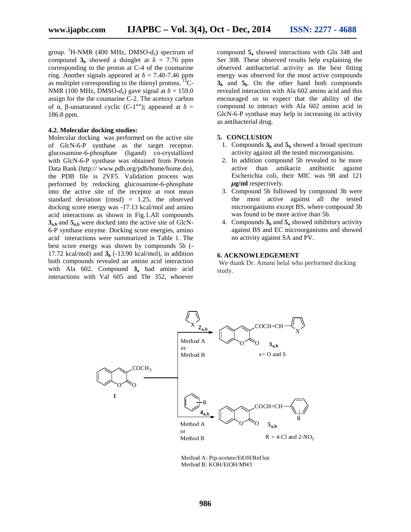group. <sup>1</sup>H-NMR (400 MHz, DMSO- $d_6$ ) spectrum of compound  $3<sub>b</sub>$  showed a dsinglet at  $= 7.76$  ppm corresponding to the proton at C-4 of the coumarine ring. Another signals appeared at  $= 7.40-7.46$  ppm as multiplet corresponding to the thienyl protons.  ${}^{13}C-$ NMR (100 MHz, DMSO- $d_6$ ) gave signal at  $= 159.0$ assign for the the coumarine C-2. The acetoxy carbon of, -unsaturated cyclic (C-1""); appeared at  $=$ 186.8 ppm.

#### **4.2. Molecular docking studies:**

Molecular docking was performed on the active site of GlcN-6-P synthase as the target receptor. glucosamine-6-phosphate (ligand) co-crystallized with GlcN-6-P synthase was obtained from Protein Data Bank (http:// www.pdb.org/pdb/home/home.do), the PDB file is 2VF5. Validation process was performed by redocking glucosamine-6-phosphate into the active site of the receptor at root mean standard deviation (rmsd) = 1.25, the observed docking score energy was -17.13 kcal/mol and amino acid interactions as shown in Fig.1.All compounds **3a,b** and **5a,b** were docked into the active site of GlcN- 6-P synthase enzyme. Docking score energies, amino acid interactions were summarized in Table 1. The best score energy was shown by compounds 5b (- 17.72 kcal/mol) and  $3<sub>b</sub>$  (-13.90 kcal/mol), in addition both compounds revealed an amino acid interaction with Ala 602. Compound **3<sup>a</sup>** had amino acid interactions with Val 605 and Thr 352, whoever

compound **5<sup>a</sup>** showed interactions with Gln 348 and Ser 308. These observed results help explaining the observed antibacterial activity as the best fitting energy was observed for the most active compounds  $3<sub>b</sub>$  and  $5<sub>b</sub>$ . On the other hand both compounds revealed interaction with Ala 602 amino acid and this encouraged us to expect that the ability of the compound to interact with Ala 602 amino acid in GlcN-6-P synthase may help in increasing its activity as antibacterial drug.

#### **5. CONCLUSION**

- 1. Compounds  $3<sub>b</sub>$  and  $5<sub>b</sub>$  showed a broad spectrum activity against all the tested microorganisms.
- 2. In addition compound 5b revealed to be more active than amikacin antibiotic against Escherichia coli, their MIC was 98 and 121 *μ***g/ml** respectively.
- 3. Compound 5b followed by compound 3b were the most active against all the tested microorganisms except BS, where compound 3b was found to be more active than 5b.
- 4. Compounds  $3<sub>b</sub>$  and  $5<sub>a</sub>$  showed inhibitory activity against BS and EC microorganisms and showed no activity against SA and PV.

#### **6. ACKNOWLEDGEMENT**

We thank Dr. Amani belal who performed docking study.



Method A: Pip-acetate/EtOH/Reflux Method B: KOH/EtOH/MWI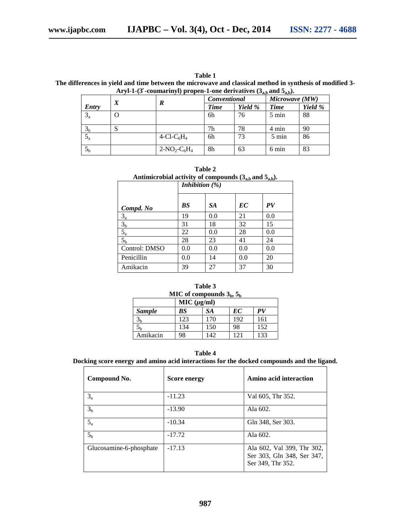| Table 1                                                                                                  |
|----------------------------------------------------------------------------------------------------------|
| The differences in yield and time between the microwave and classical method in synthesis of modified 3- |
| Aryl-1-(3 -coumarinyl) propen-1-one derivatives $(3_{a,b}$ and $5_{a,b})$ .                              |

|                | $\boldsymbol{X}$ |                                    | <i>Conventional</i> |         | Microwave (MW)  |         |
|----------------|------------------|------------------------------------|---------------------|---------|-----------------|---------|
| Entry          |                  | R                                  | Time                | Yield % | <b>Time</b>     | Yield % |
| $3_a$          | O                |                                    | 6h                  | 76      | $5 \text{ min}$ | 88      |
| 3 <sub>b</sub> | <b>ل</b>         |                                    | 7h                  | 78      | 4 min           | 90      |
| $5_a$          |                  | 4-Cl-C <sub>6</sub> H <sub>4</sub> | 6h                  | 73      | 5 min           | 86      |
| 5 <sub>h</sub> |                  | $2-NO_2-C_6H_4$                    | 8h                  | 63      | 6 min           | 83      |

| Table 2                                                         |  |  |  |  |  |  |
|-----------------------------------------------------------------|--|--|--|--|--|--|
| Antimicrobial activity of compounds $(3_{a,b}$ and $5_{a,b})$ . |  |  |  |  |  |  |
|                                                                 |  |  |  |  |  |  |

|                | Inhibition $(\%)$ |     |     |     |  |
|----------------|-------------------|-----|-----|-----|--|
| Compd. No      | BS                | SA. | EC  | PV  |  |
| $3_a$          | 19                | 0.0 | 21  | 0.0 |  |
| 3 <sub>b</sub> | 31                | 18  | 32  | 15  |  |
| $5_a$          | 22                | 0.0 | 28  | 0.0 |  |
| 5 <sub>b</sub> | 28                | 23  | 41  | 24  |  |
| Control: DMSO  | 0.0               | 0.0 | 0.0 | 0.0 |  |
| Penicillin     | 0.0               | 14  | 0.0 | 20  |  |
| Amikacin       | 39                | 27  | 37  | 30  |  |

| Table 3                      |     |             |             |     |  |
|------------------------------|-----|-------------|-------------|-----|--|
| MIC of compounds $3b$ , $5b$ |     |             |             |     |  |
|                              |     | MIC (µg/ml) |             |     |  |
| <b>Sample</b>                | BS  | SA          | EC          | PV  |  |
| Эh                           | 123 | 170         | 192         | 161 |  |
| Ć۳                           | 134 | 150         | 98          | 152 |  |
| Amikacin                     | 98  | 142         | $\sqrt{21}$ | 133 |  |

**Table 4**

**Docking score energy and amino acid interactions for the docked compounds and the ligand.**

| Compound No.            | <b>Score energy</b> | Amino acid interaction                                                        |
|-------------------------|---------------------|-------------------------------------------------------------------------------|
| $3_a$                   | $-11.23$            | Val 605, Thr 352.                                                             |
| 3 <sub>b</sub>          | $-13.90$            | Ala 602.                                                                      |
| $5_a$                   | $-10.34$            | Gln 348, Ser 303.                                                             |
| 5 <sub>h</sub>          | $-17.72$            | Ala 602.                                                                      |
| Glucosamine-6-phosphate | $-17.13$            | Ala 602, Val 399, Thr 302,<br>Ser 303, Gln 348, Ser 347,<br>Ser 349, Thr 352. |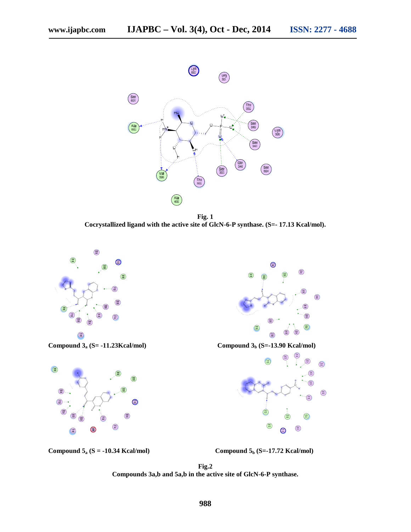

**Fig. 1 Cocrystallized ligand with the active site of GlcN-6-P synthase. (S=- 17.13 Kcal/mol).**



**Compound 3**<sup>a</sup> **(S= -11.23Kcal/mol) Compound 3**<sup>b</sup> **(S=-13.90 Kcal/mol)** 



 $\bigodot$  $\bigoplus$  $\bigcirc$ ∩ ⊜  $\bigcirc$  $\bm{\Theta}$ € ∩



**Compound**  $5a$  **(S =**  $-10.34$  **Kcal/mol) Compound**  $5b$  **(S=-17.72 Kcal/mol)** 

**Fig.2 Compounds 3a,b and 5a,b in the active site of GlcN-6-P synthase.**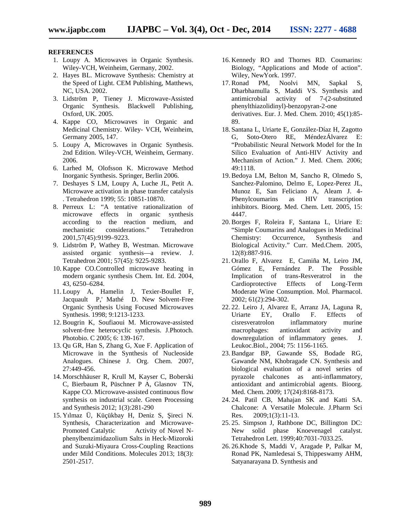#### **REFERENCES**

- 1. Loupy A. Microwaves in Organic Synthesis. Wiley-VCH, Weinheim, Germany, 2002.
- 2. Hayes BL. Microwave Synthesis: Chemistry at the Speed of Light. CEM Publishing, Matthews, NC, USA. 2002.
- 3. Lidström P, Tieney J. Microwave-Assisted Organic Synthesis. Blackwell Publishing, Oxford, UK. 2005.
- 4. Kappe CO, Microwaves in Organic and Medicinal Chemistry. Wiley- VCH, Weinheim, Germany 2005, 147.
- 5. Loupy A, Microwaves in Organic Synthesis. 2nd Edition. Wiley-VCH, Weinheim, Germany. 2006.
- 6. Larhed M, Olofsson K. Microwave Method Inorganic Synthesis. Springer, Berlin 2006.
- 7. Deshayes S LM, Loupy A, Luche JL, Petit A. Microwave activation in phase transfer catalysis . Tetrahedron 1999; 55: 10851-10870.
- 8. Perreux L: "A tentative rationalization of microwave effects in organic synthesis according to the reaction medium, and mechanistic considerations." Tetrahedron 2001,57(45):9199–9223.
- 9. Lidström P, Wathey B, Westman. Microwave assisted organic synthesis—a review. J. Tetrahedron 2001; 57(45): 9225-9283.
- 10. Kappe CO.Controlled microwave heating in modern organic synthesis Chem. Int. Ed. 2004, 43, 6250–6284.
- 11. Loupy A, Hamelin J, Texier-Boullet F, Jacquault P,' Mathé D. New Solvent-Free Organic Synthesis Using Focused Microwaves Synthesis. 1998; 9:1213-1233.
- 12. Bougrin K, Soufiaoui M. Microwave-assisted solvent-free heterocyclic synthesis. J.Photoch. Photobio. C 2005; 6: 139-167.
- 13. Qu GR, Han S, Zhang G, Xue F. Application of Microwave in the Synthesis of Nucleoside Analogues. Chinese J. Org. Chem. 2007, 27:449-456.
- 14. Morschhäuser R, Krull M, Kayser C, Boberski C, Bierbaum R, Püschner P A, Glasnov TN, Kappe CO. Microwave-assisted continuous flow synthesis on industrial scale. Green Processing and Synthesis 2012; 1(3):281-290
- 15. Yılmaz Ü, Küçükbay H, Deniz S, ireci N. Synthesis, Characterization and Microwave- Promoted Catalytic Activity of Novel N phenylbenzimidazolium Salts in Heck-Mizoroki and Suzuki-Miyaura Cross-Coupling Reactions under Mild Conditions. Molecules 2013; 18(3): 2501-2517.
- 16. Kennedy RO and Thornes RD. Coumarins: Biology, "Applications and Mode of action". Wiley, NewYork. 1997.
- 17. Ronad PM, Noolvi MN, Sapkal S, Dharbhamulla S, Maddi VS. Synthesis and antimicrobial activity of 7-(2-substituted phenylthiazolidinyl)-benzopyran-2-one derivatives. Eur. J. Med. Chem. 2010; 45(1):85- 89.
- 18. Santana L, Uriarte E, González-Díaz H, Zagotto G, Soto-Otero RE, MéndezÁlvarez E: "Probabilistic Neural Network Model for the In Silico Evaluation of Anti-HIV Activity and Mechanism of Action." J. Med. Chem. 2006; 49:1118.
- 19. Bedoya LM, Belton M, Sancho R, Olmedo S, Sanchez-Palomino, Delmo E, Lopez-Perez JL, Munoz E, San Feliciano A, Aleam J. 4- Phenylcoumarins as HIV transcription inhibitors. Bioorg. Med. Chem. Lett. 2005, 15: 4447.
- 20. Borges F, Roleira F, Santana L, Uriare E: "Simple Coumarins and Analogues in Medicinal Chemistry: Occurrence, Synthesis and Biological Activity." Curr. Med.Chem. 2005, 12(8):887-916.
- 21. Orallo F, Alvarez E, Camiña M, Leiro JM, Gómez E, Fernández P. The Possible Implication of trans-Resveratrol in the Cardioprotective Effects of Long-Term Moderate Wine Consumption. Mol. Pharmacol. 2002; 61(2):294-302.
- 22. 22. Leiro J, Alvarez E, Arranz JA, Laguna R, Uriarte EY, Orallo F. Effects of cisresveratrolon inflammatory murine macrophages: antioxidant activity and downregulation of inflammatory genes. J. Leukoc.Biol., 2004; 75: 1156-1165.
- 23. Bandgar BP, Gawande SS, Bodade RG, Gawande NM, Khobragade CN. Synthesis and biological evaluation of a novel series of pyrazole chalcones as anti-inflammatory, antioxidant and antimicrobial agents. Bioorg. Med. Chem. 2009; 17(24):8168-8173.
- 24. 24. Patil CB, Mahajan SK and Katti SA. Chalcone: A Versatile Molecule. J.Pharm Sci Res. 2009;1(3):11-13.
- 25. 25. Simpson J, Rathbone DC, Billington DC: New solid phase Knoevenagel catalyst. Tetrahedron Lett. 1999;40:7031-7033.25.
- 26. 26.Khode S, Maddi V, Aragade P, Palkar M, Ronad PK, Namledesai S, Thippeswamy AHM, Satyanarayana D. Synthesis and